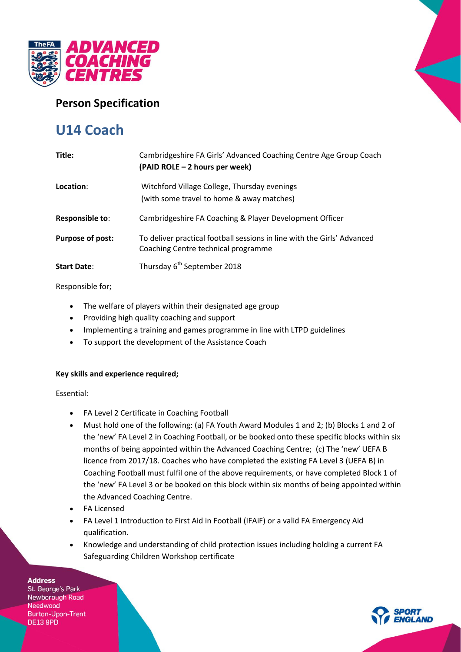

## **Person Specification**

# **U14 Coach**

| Title:                  | Cambridgeshire FA Girls' Advanced Coaching Centre Age Group Coach<br>(PAID ROLE – 2 hours per week)            |
|-------------------------|----------------------------------------------------------------------------------------------------------------|
| Location:               | Witchford Village College, Thursday evenings<br>(with some travel to home & away matches)                      |
| Responsible to:         | Cambridgeshire FA Coaching & Player Development Officer                                                        |
| <b>Purpose of post:</b> | To deliver practical football sessions in line with the Girls' Advanced<br>Coaching Centre technical programme |
| <b>Start Date:</b>      | Thursday 6 <sup>th</sup> September 2018                                                                        |

#### Responsible for;

- The welfare of players within their designated age group
- Providing high quality coaching and support
- Implementing a training and games programme in line with LTPD guidelines
- To support the development of the Assistance Coach

### **Key skills and experience required;**

Essential:

- FA Level 2 Certificate in Coaching Football
- Must hold one of the following: (a) FA Youth Award Modules 1 and 2; (b) Blocks 1 and 2 of the 'new' FA Level 2 in Coaching Football, or be booked onto these specific blocks within six months of being appointed within the Advanced Coaching Centre; (c) The 'new' UEFA B licence from 2017/18. Coaches who have completed the existing FA Level 3 (UEFA B) in Coaching Football must fulfil one of the above requirements, or have completed Block 1 of the 'new' FA Level 3 or be booked on this block within six months of being appointed within the Advanced Coaching Centre.
- FA Licensed
- FA Level 1 Introduction to First Aid in Football (IFAiF) or a valid FA Emergency Aid qualification.
- Knowledge and understanding of child protection issues including holding a current FA Safeguarding Children Workshop certificate

**Address** 

St. George's Park Newborough Road Needwood **Burton-Upon-Trent DE13 9PD**